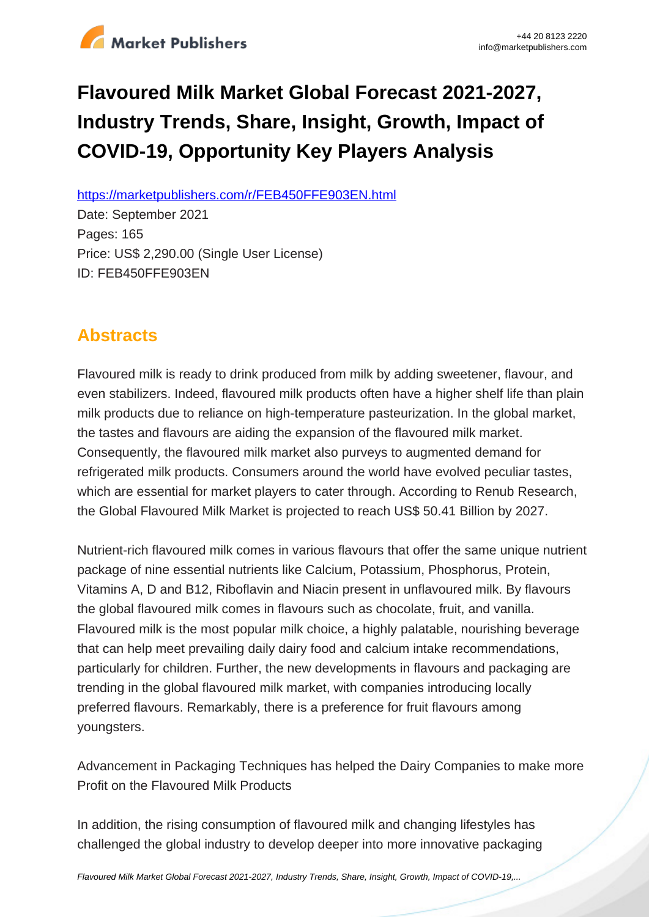

# **Flavoured Milk Market Global Forecast 2021-2027, Industry Trends, Share, Insight, Growth, Impact of COVID-19, Opportunity Key Players Analysis**

https://marketpublishers.com/r/FEB450FFE903EN.html

Date: September 2021 Pages: 165 Price: US\$ 2,290.00 (Single User License) ID: FEB450FFE903EN

# **Abstracts**

Flavoured milk is ready to drink produced from milk by adding sweetener, flavour, and even stabilizers. Indeed, flavoured milk products often have a higher shelf life than plain milk products due to reliance on high-temperature pasteurization. In the global market, the tastes and flavours are aiding the expansion of the flavoured milk market. Consequently, the flavoured milk market also purveys to augmented demand for refrigerated milk products. Consumers around the world have evolved peculiar tastes, which are essential for market players to cater through. According to Renub Research, the Global Flavoured Milk Market is projected to reach US\$ 50.41 Billion by 2027.

Nutrient-rich flavoured milk comes in various flavours that offer the same unique nutrient package of nine essential nutrients like Calcium, Potassium, Phosphorus, Protein, Vitamins A, D and B12, Riboflavin and Niacin present in unflavoured milk. By flavours the global flavoured milk comes in flavours such as chocolate, fruit, and vanilla. Flavoured milk is the most popular milk choice, a highly palatable, nourishing beverage that can help meet prevailing daily dairy food and calcium intake recommendations, particularly for children. Further, the new developments in flavours and packaging are trending in the global flavoured milk market, with companies introducing locally preferred flavours. Remarkably, there is a preference for fruit flavours among youngsters.

Advancement in Packaging Techniques has helped the Dairy Companies to make more Profit on the Flavoured Milk Products

In addition, the rising consumption of flavoured milk and changing lifestyles has challenged the global industry to develop deeper into more innovative packaging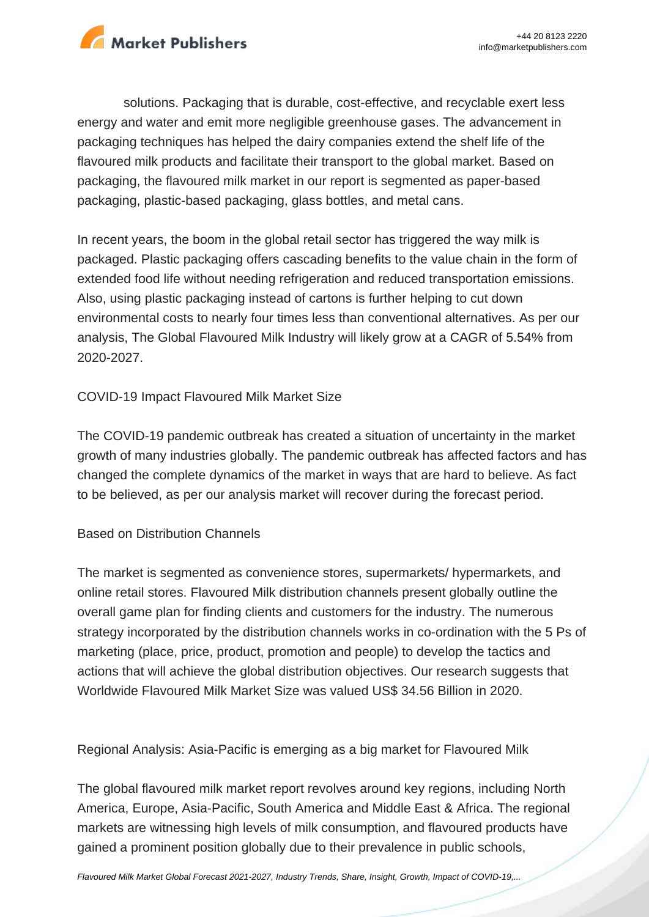

solutions. Packaging that is durable, cost-effective, and recyclable exert less energy and water and emit more negligible greenhouse gases. The advancement in packaging techniques has helped the dairy companies extend the shelf life of the flavoured milk products and facilitate their transport to the global market. Based on packaging, the flavoured milk market in our report is segmented as paper-based packaging, plastic-based packaging, glass bottles, and metal cans.

In recent years, the boom in the global retail sector has triggered the way milk is packaged. Plastic packaging offers cascading benefits to the value chain in the form of extended food life without needing refrigeration and reduced transportation emissions. Also, using plastic packaging instead of cartons is further helping to cut down environmental costs to nearly four times less than conventional alternatives. As per our analysis, The Global Flavoured Milk Industry will likely grow at a CAGR of 5.54% from 2020-2027.

## COVID-19 Impact Flavoured Milk Market Size

The COVID-19 pandemic outbreak has created a situation of uncertainty in the market growth of many industries globally. The pandemic outbreak has affected factors and has changed the complete dynamics of the market in ways that are hard to believe. As fact to be believed, as per our analysis market will recover during the forecast period.

## Based on Distribution Channels

The market is segmented as convenience stores, supermarkets/ hypermarkets, and online retail stores. Flavoured Milk distribution channels present globally outline the overall game plan for finding clients and customers for the industry. The numerous strategy incorporated by the distribution channels works in co-ordination with the 5 Ps of marketing (place, price, product, promotion and people) to develop the tactics and actions that will achieve the global distribution objectives. Our research suggests that Worldwide Flavoured Milk Market Size was valued US\$ 34.56 Billion in 2020.

Regional Analysis: Asia-Pacific is emerging as a big market for Flavoured Milk

The global flavoured milk market report revolves around key regions, including North America, Europe, Asia-Pacific, South America and Middle East & Africa. The regional markets are witnessing high levels of milk consumption, and flavoured products have gained a prominent position globally due to their prevalence in public schools,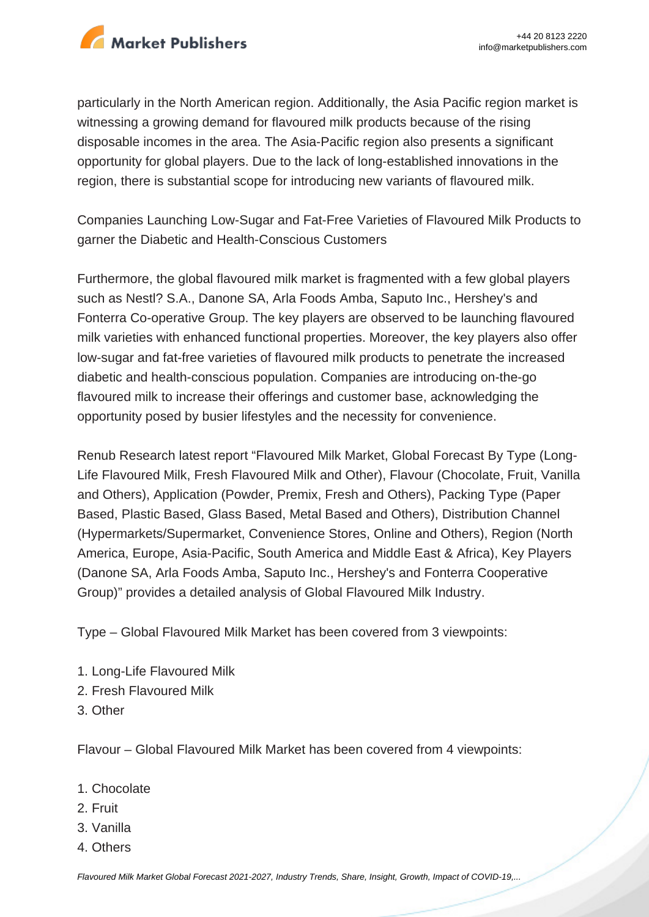

particularly in the North American region. Additionally, the Asia Pacific region market is witnessing a growing demand for flavoured milk products because of the rising disposable incomes in the area. The Asia-Pacific region also presents a significant opportunity for global players. Due to the lack of long-established innovations in the region, there is substantial scope for introducing new variants of flavoured milk.

Companies Launching Low-Sugar and Fat-Free Varieties of Flavoured Milk Products to garner the Diabetic and Health-Conscious Customers

Furthermore, the global flavoured milk market is fragmented with a few global players such as Nestl? S.A., Danone SA, Arla Foods Amba, Saputo Inc., Hershey's and Fonterra Co-operative Group. The key players are observed to be launching flavoured milk varieties with enhanced functional properties. Moreover, the key players also offer low-sugar and fat-free varieties of flavoured milk products to penetrate the increased diabetic and health-conscious population. Companies are introducing on-the-go flavoured milk to increase their offerings and customer base, acknowledging the opportunity posed by busier lifestyles and the necessity for convenience.

Renub Research latest report "Flavoured Milk Market, Global Forecast By Type (Long-Life Flavoured Milk, Fresh Flavoured Milk and Other), Flavour (Chocolate, Fruit, Vanilla and Others), Application (Powder, Premix, Fresh and Others), Packing Type (Paper Based, Plastic Based, Glass Based, Metal Based and Others), Distribution Channel (Hypermarkets/Supermarket, Convenience Stores, Online and Others), Region (North America, Europe, Asia-Pacific, South America and Middle East & Africa), Key Players (Danone SA, Arla Foods Amba, Saputo Inc., Hershey's and Fonterra Cooperative Group)" provides a detailed analysis of Global Flavoured Milk Industry.

Type – Global Flavoured Milk Market has been covered from 3 viewpoints:

- 1. Long-Life Flavoured Milk
- 2. Fresh Flavoured Milk
- 3. Other

Flavour – Global Flavoured Milk Market has been covered from 4 viewpoints:

- 1. Chocolate
- 2. Fruit
- 3. Vanilla
- 4. Others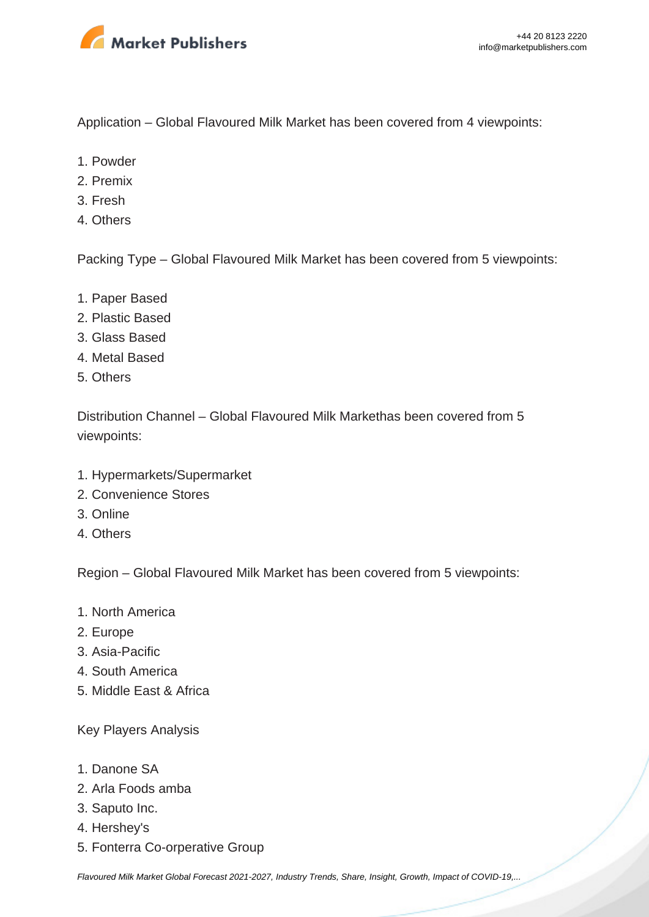

Application – Global Flavoured Milk Market has been covered from 4 viewpoints:

- 1. Powder
- 2. Premix
- 3. Fresh
- 4. Others

Packing Type – Global Flavoured Milk Market has been covered from 5 viewpoints:

- 1. Paper Based
- 2. Plastic Based
- 3. Glass Based
- 4. Metal Based
- 5. Others

Distribution Channel – Global Flavoured Milk Markethas been covered from 5 viewpoints:

- 1. Hypermarkets/Supermarket
- 2. Convenience Stores
- 3. Online
- 4. Others

Region – Global Flavoured Milk Market has been covered from 5 viewpoints:

- 1. North America
- 2. Europe
- 3. Asia-Pacific
- 4. South America
- 5. Middle East & Africa

Key Players Analysis

- 1. Danone SA
- 2. Arla Foods amba
- 3. Saputo Inc.
- 4. Hershey's
- 5. Fonterra Co-orperative Group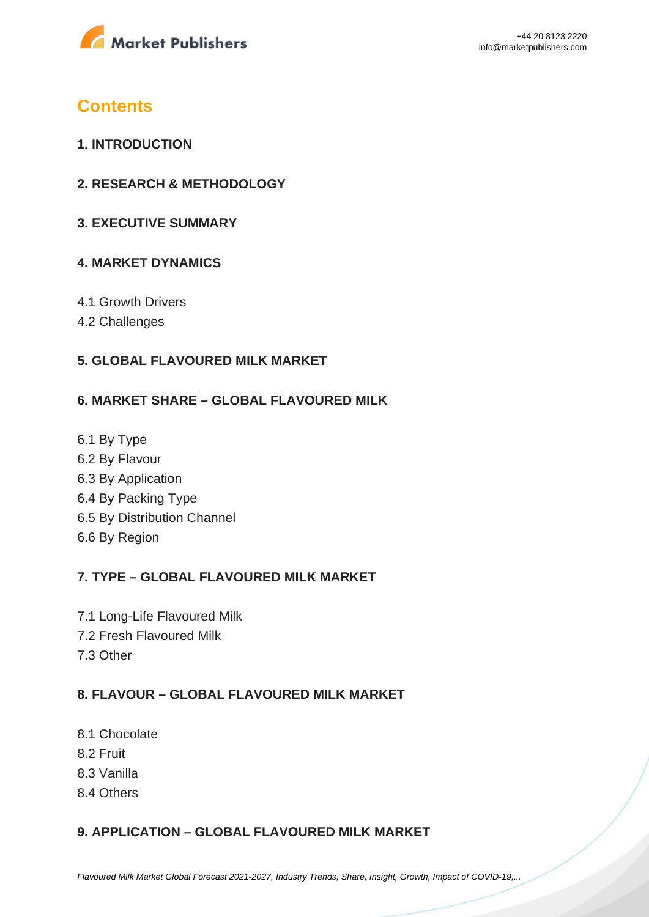

# **Contents**

- **1. INTRODUCTION**
- **2. RESEARCH & METHODOLOGY**
- **3. EXECUTIVE SUMMARY**

## **4. MARKET DYNAMICS**

- 4.1 Growth Drivers
- 4.2 Challenges

## **5. GLOBAL FLAVOURED MILK MARKET**

#### **6. MARKET SHARE – GLOBAL FLAVOURED MILK**

6.1 By Type 6.2 By Flavour 6.3 By Application 6.4 By Packing Type 6.5 By Distribution Channel 6.6 By Region

## **7. TYPE – GLOBAL FLAVOURED MILK MARKET**

- 7.1 Long-Life Flavoured Milk
- 7.2 Fresh Flavoured Milk
- 7.3 Other

# **8. FLAVOUR – GLOBAL FLAVOURED MILK MARKET**

- 8.1 Chocolate
- 8.2 Fruit
- 8.3 Vanilla
- 8.4 Others

## **9. APPLICATION – GLOBAL FLAVOURED MILK MARKET**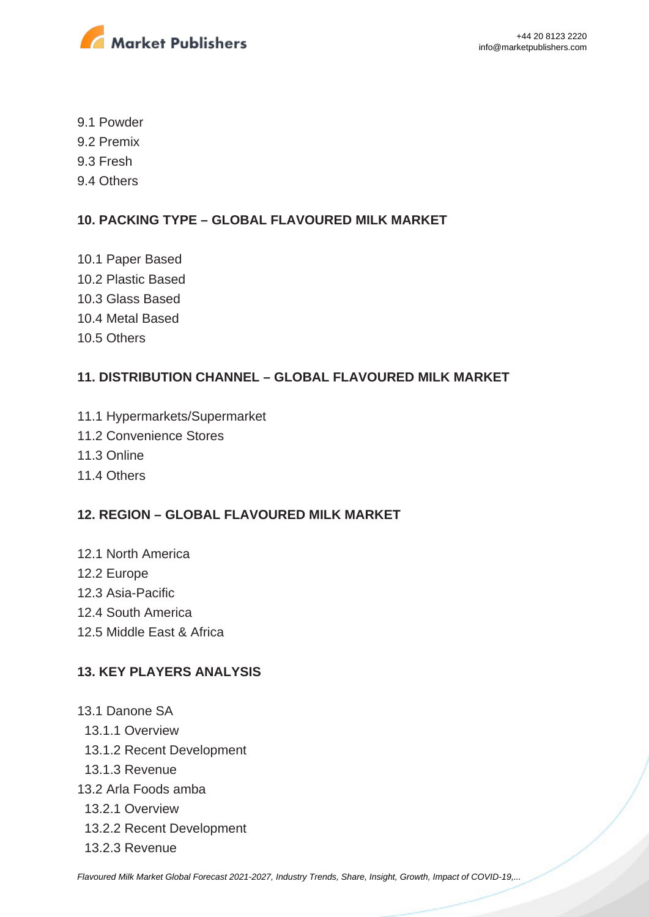

- 9.1 Powder
- 9.2 Premix
- 9.3 Fresh
- 9.4 Others

# **10. PACKING TYPE – GLOBAL FLAVOURED MILK MARKET**

- 10.1 Paper Based
- 10.2 Plastic Based
- 10.3 Glass Based
- 10.4 Metal Based
- 10.5 Others

# **11. DISTRIBUTION CHANNEL – GLOBAL FLAVOURED MILK MARKET**

- 11.1 Hypermarkets/Supermarket
- 11.2 Convenience Stores
- 11.3 Online
- 11.4 Others

## **12. REGION – GLOBAL FLAVOURED MILK MARKET**

- 12.1 North America
- 12.2 Europe
- 12.3 Asia-Pacific
- 12.4 South America
- 12.5 Middle East & Africa

## **13. KEY PLAYERS ANALYSIS**

13.1 Danone SA 13.1.1 Overview 13.1.2 Recent Development 13.1.3 Revenue 13.2 Arla Foods amba 13.2.1 Overview 13.2.2 Recent Development 13.2.3 Revenue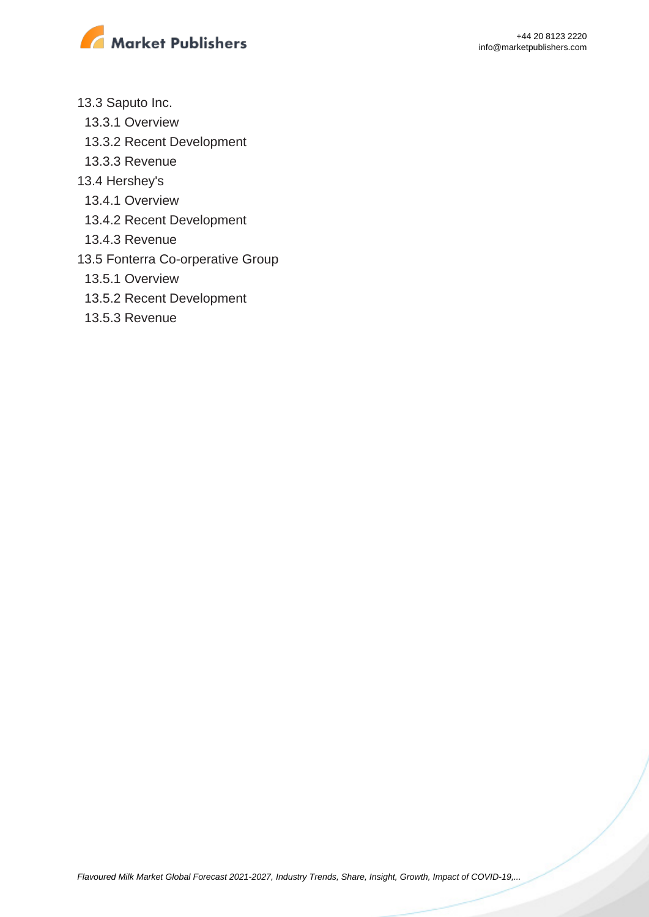

- 13.3 Saputo Inc.
	- 13.3.1 Overview
	- 13.3.2 Recent Development
	- 13.3.3 Revenue
- 13.4 Hershey's
	- 13.4.1 Overview
	- 13.4.2 Recent Development
	- 13.4.3 Revenue
- 13.5 Fonterra Co-orperative Group
	- 13.5.1 Overview
	- 13.5.2 Recent Development
	- 13.5.3 Revenue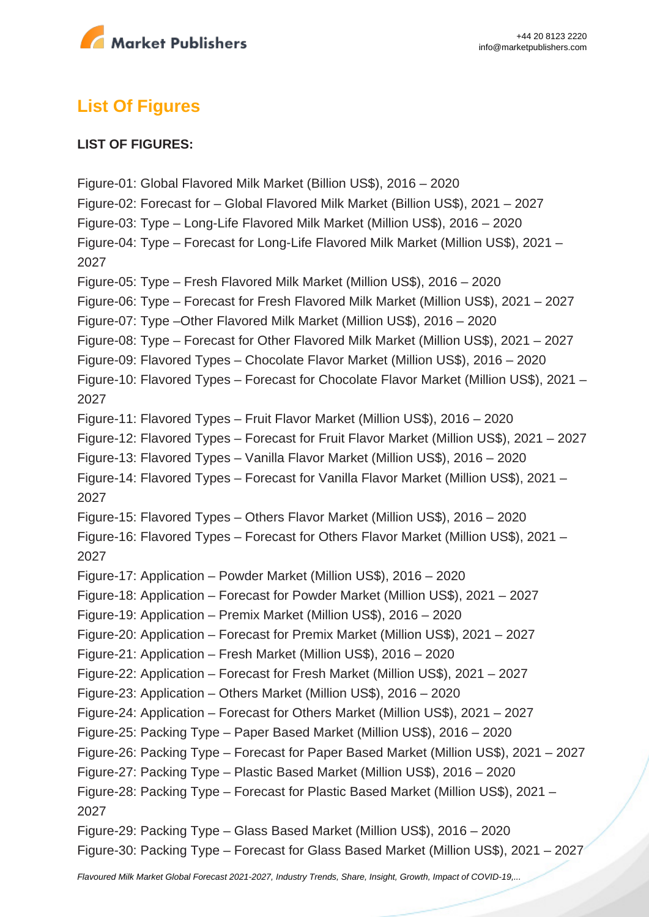

# **List Of Figures**

## **LIST OF FIGURES:**

Figure-01: Global Flavored Milk Market (Billion US\$), 2016 – 2020 Figure-02: Forecast for – Global Flavored Milk Market (Billion US\$), 2021 – 2027 Figure-03: Type – Long-Life Flavored Milk Market (Million US\$), 2016 – 2020 Figure-04: Type – Forecast for Long-Life Flavored Milk Market (Million US\$), 2021 – 2027 Figure-05: Type – Fresh Flavored Milk Market (Million US\$), 2016 – 2020 Figure-06: Type – Forecast for Fresh Flavored Milk Market (Million US\$), 2021 – 2027 Figure-07: Type –Other Flavored Milk Market (Million US\$), 2016 – 2020 Figure-08: Type – Forecast for Other Flavored Milk Market (Million US\$), 2021 – 2027 Figure-09: Flavored Types – Chocolate Flavor Market (Million US\$), 2016 – 2020 Figure-10: Flavored Types – Forecast for Chocolate Flavor Market (Million US\$), 2021 – 2027 Figure-11: Flavored Types – Fruit Flavor Market (Million US\$), 2016 – 2020 Figure-12: Flavored Types – Forecast for Fruit Flavor Market (Million US\$), 2021 – 2027 Figure-13: Flavored Types – Vanilla Flavor Market (Million US\$), 2016 – 2020 Figure-14: Flavored Types – Forecast for Vanilla Flavor Market (Million US\$), 2021 – 2027 Figure-15: Flavored Types – Others Flavor Market (Million US\$), 2016 – 2020 Figure-16: Flavored Types – Forecast for Others Flavor Market (Million US\$), 2021 – 2027 Figure-17: Application – Powder Market (Million US\$), 2016 – 2020 Figure-18: Application – Forecast for Powder Market (Million US\$), 2021 – 2027 Figure-19: Application – Premix Market (Million US\$), 2016 – 2020 Figure-20: Application – Forecast for Premix Market (Million US\$), 2021 – 2027 Figure-21: Application – Fresh Market (Million US\$), 2016 – 2020 Figure-22: Application – Forecast for Fresh Market (Million US\$), 2021 – 2027 Figure-23: Application – Others Market (Million US\$), 2016 – 2020 Figure-24: Application – Forecast for Others Market (Million US\$), 2021 – 2027 Figure-25: Packing Type – Paper Based Market (Million US\$), 2016 – 2020 Figure-26: Packing Type – Forecast for Paper Based Market (Million US\$), 2021 – 2027 Figure-27: Packing Type – Plastic Based Market (Million US\$), 2016 – 2020 Figure-28: Packing Type – Forecast for Plastic Based Market (Million US\$), 2021 – 2027 Figure-29: Packing Type – Glass Based Market (Million US\$), 2016 – 2020 Figure-30: Packing Type – Forecast for Glass Based Market (Million US\$), 2021 – 2027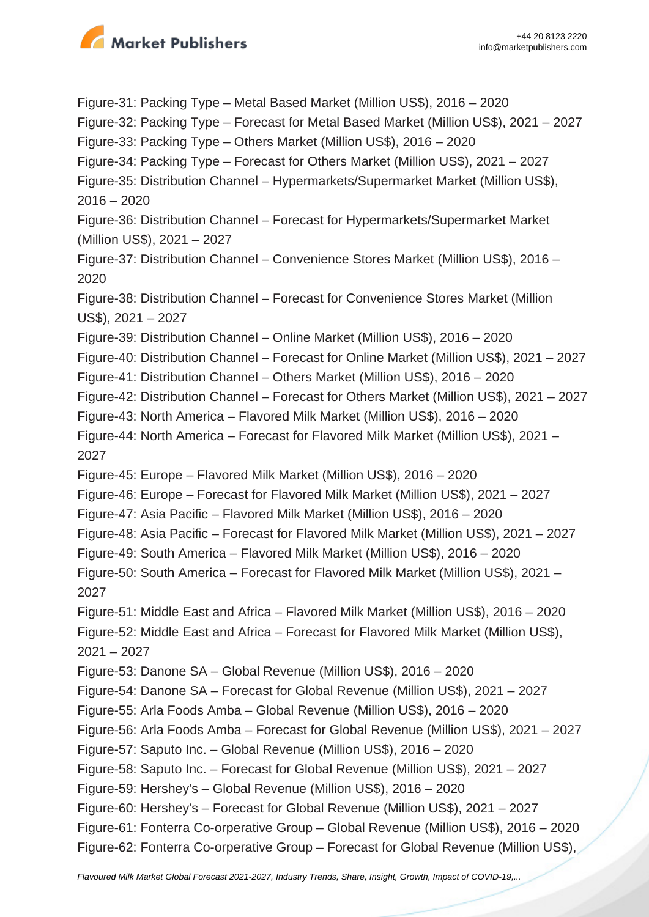

Figure-31: Packing Type – Metal Based Market (Million US\$), 2016 – 2020 Figure-32: Packing Type – Forecast for Metal Based Market (Million US\$), 2021 – 2027 Figure-33: Packing Type – Others Market (Million US\$), 2016 – 2020 Figure-34: Packing Type – Forecast for Others Market (Million US\$), 2021 – 2027 Figure-35: Distribution Channel – Hypermarkets/Supermarket Market (Million US\$),  $2016 - 2020$ Figure-36: Distribution Channel – Forecast for Hypermarkets/Supermarket Market (Million US\$), 2021 – 2027 Figure-37: Distribution Channel – Convenience Stores Market (Million US\$), 2016 – 2020 Figure-38: Distribution Channel – Forecast for Convenience Stores Market (Million US\$), 2021 – 2027 Figure-39: Distribution Channel – Online Market (Million US\$), 2016 – 2020 Figure-40: Distribution Channel – Forecast for Online Market (Million US\$), 2021 – 2027 Figure-41: Distribution Channel – Others Market (Million US\$), 2016 – 2020 Figure-42: Distribution Channel – Forecast for Others Market (Million US\$), 2021 – 2027 Figure-43: North America – Flavored Milk Market (Million US\$), 2016 – 2020 Figure-44: North America – Forecast for Flavored Milk Market (Million US\$), 2021 – 2027 Figure-45: Europe – Flavored Milk Market (Million US\$), 2016 – 2020 Figure-46: Europe – Forecast for Flavored Milk Market (Million US\$), 2021 – 2027 Figure-47: Asia Pacific – Flavored Milk Market (Million US\$), 2016 – 2020 Figure-48: Asia Pacific – Forecast for Flavored Milk Market (Million US\$), 2021 – 2027 Figure-49: South America – Flavored Milk Market (Million US\$), 2016 – 2020 Figure-50: South America – Forecast for Flavored Milk Market (Million US\$), 2021 – 2027 Figure-51: Middle East and Africa – Flavored Milk Market (Million US\$), 2016 – 2020 Figure-52: Middle East and Africa – Forecast for Flavored Milk Market (Million US\$),  $2021 - 2027$ Figure-53: Danone SA – Global Revenue (Million US\$), 2016 – 2020 Figure-54: Danone SA – Forecast for Global Revenue (Million US\$), 2021 – 2027 Figure-55: Arla Foods Amba – Global Revenue (Million US\$), 2016 – 2020 Figure-56: Arla Foods Amba – Forecast for Global Revenue (Million US\$), 2021 – 2027 Figure-57: Saputo Inc. – Global Revenue (Million US\$), 2016 – 2020 Figure-58: Saputo Inc. – Forecast for Global Revenue (Million US\$), 2021 – 2027 Figure-59: Hershey's – Global Revenue (Million US\$), 2016 – 2020 Figure-60: Hershey's – Forecast for Global Revenue (Million US\$), 2021 – 2027 Figure-61: Fonterra Co-orperative Group – Global Revenue (Million US\$), 2016 – 2020 Figure-62: Fonterra Co-orperative Group – Forecast for Global Revenue (Million US\$),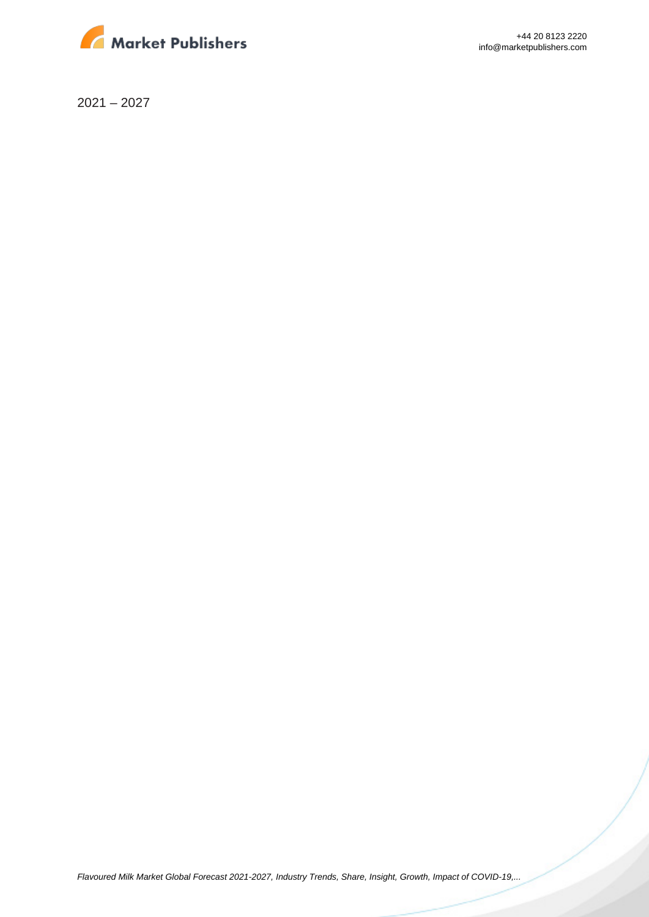

+44 20 8123 2220 info@marketpublishers.com

2021 – 2027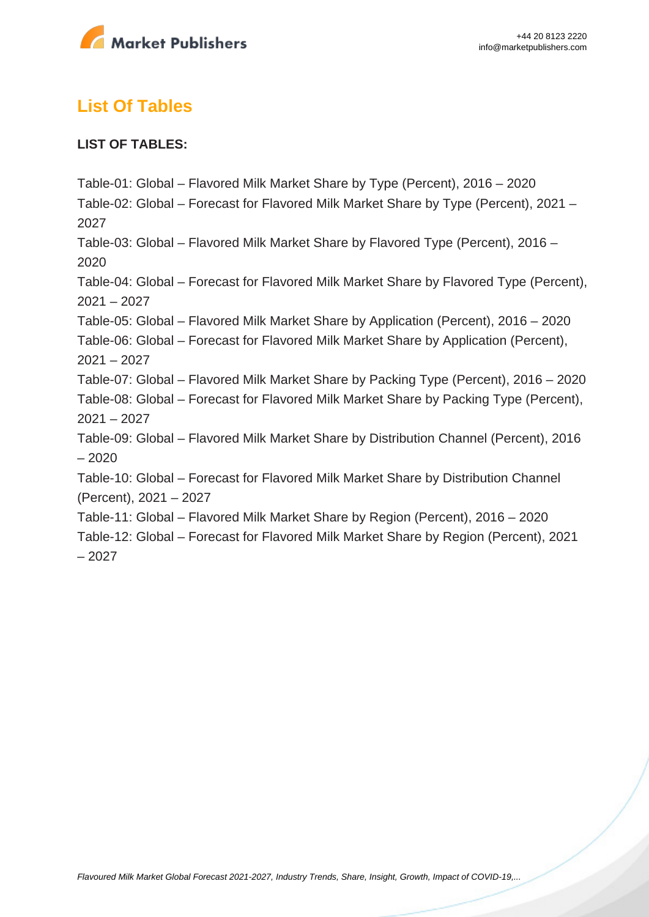

# **List Of Tables**

# **LIST OF TABLES:**

Table-01: Global – Flavored Milk Market Share by Type (Percent), 2016 – 2020 Table-02: Global – Forecast for Flavored Milk Market Share by Type (Percent), 2021 – 2027 Table-03: Global – Flavored Milk Market Share by Flavored Type (Percent), 2016 – 2020 Table-04: Global – Forecast for Flavored Milk Market Share by Flavored Type (Percent), 2021 – 2027 Table-05: Global – Flavored Milk Market Share by Application (Percent), 2016 – 2020 Table-06: Global – Forecast for Flavored Milk Market Share by Application (Percent), 2021 – 2027 Table-07: Global – Flavored Milk Market Share by Packing Type (Percent), 2016 – 2020 Table-08: Global – Forecast for Flavored Milk Market Share by Packing Type (Percent),  $2021 - 2027$ Table-09: Global – Flavored Milk Market Share by Distribution Channel (Percent), 2016 – 2020 Table-10: Global – Forecast for Flavored Milk Market Share by Distribution Channel (Percent), 2021 – 2027 Table-11: Global – Flavored Milk Market Share by Region (Percent), 2016 – 2020 Table-12: Global – Forecast for Flavored Milk Market Share by Region (Percent), 2021 – 2027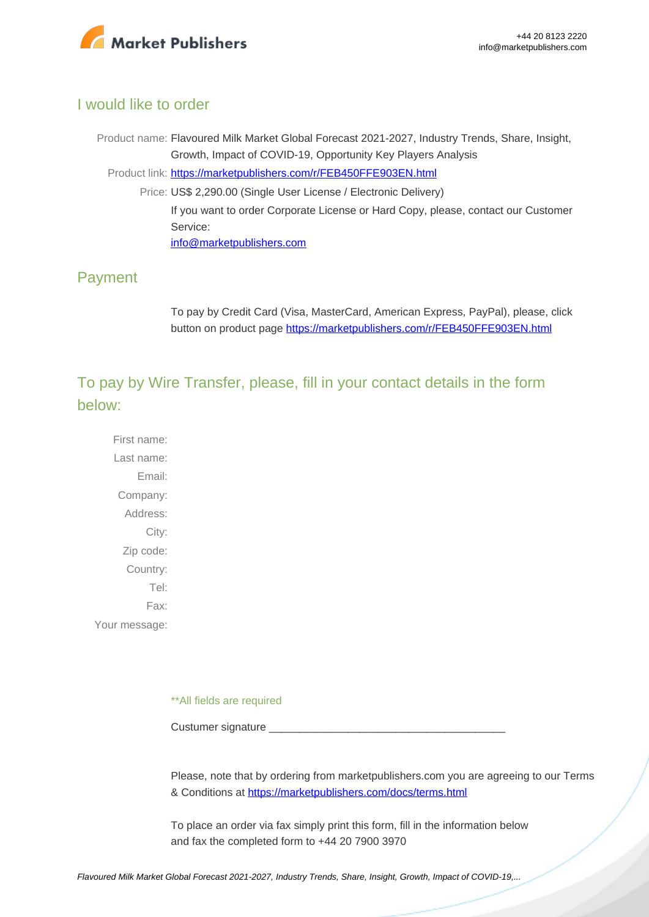

# I would like to order

Product name: Flavoured Milk Market Global Forecast 2021-2027, Industry Trends, Share, Insight, Growth, Impact of COVID-19, Opportunity Key Players Analysis Product link: [https://marketpublishers.com/r/FEB450FFE903EN.html](https://marketpublishers.com/report/food/dairy/flavoured-milk-market-global-forecast-2021-2027-industry-trends-share-insight-growth-impact-of-covid-19-opportunity-key-players-analysis.html) Price: US\$ 2,290.00 (Single User License / Electronic Delivery) If you want to order Corporate License or Hard Copy, please, contact our Customer Service: [info@marketpublishers.com](mailto:info@marketpublishers.com)

# Payment

To pay by Credit Card (Visa, MasterCard, American Express, PayPal), please, click button on product page [https://marketpublishers.com/r/FEB450FFE903EN.html](https://marketpublishers.com/report/food/dairy/flavoured-milk-market-global-forecast-2021-2027-industry-trends-share-insight-growth-impact-of-covid-19-opportunity-key-players-analysis.html)

To pay by Wire Transfer, please, fill in your contact details in the form below:

First name: Last name: Email: Company: Address: City: Zip code: Country: Tel: Fax: Your message:

\*\*All fields are required

Custumer signature

Please, note that by ordering from marketpublishers.com you are agreeing to our Terms & Conditions at<https://marketpublishers.com/docs/terms.html>

To place an order via fax simply print this form, fill in the information below and fax the completed form to +44 20 7900 3970